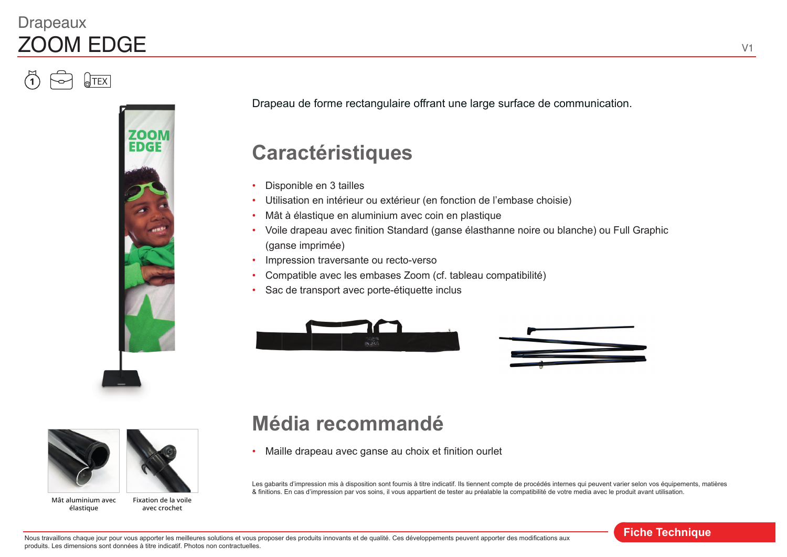### **Drapeaux** ZOOM EDGE

**TEX** 



Drapeau de forme rectangulaire offrant une large surface de communication.

# **Caractéristiques**

- Disponible en 3 tailles
- Utilisation en intérieur ou extérieur (en fonction de l'embase choisie)
- Mât à élastique en aluminium avec coin en plastique
- Voile drapeau avec finition Standard (ganse élasthanne noire ou blanche) ou Full Graphic (ganse imprimée)
- Impression traversante ou recto-verso
- Compatible avec les embases Zoom (cf. tableau compatibilité)
- Sac de transport avec porte-étiquette inclus







**Mât aluminium avec élastique**

**Fixation de la voile avec crochet**

## **Média recommandé**

• Maille drapeau avec ganse au choix et finition ourlet

Les gabarits d'impression mis à disposition sont fournis à titre indicatif. Ils tiennent compte de procédés internes qui peuvent varier selon vos équipements, matières & finitions. En cas d'impression par vos soins, il vous appartient de tester au préalable la compatibilité de votre media avec le produit avant utilisation.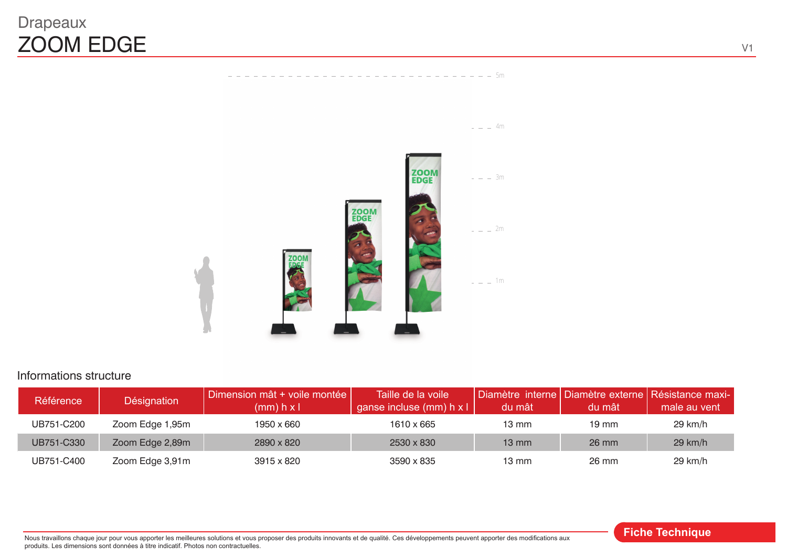### Drapeaux ZOOM EDGE



 $-$  - - - - - - - - - - - - 5m

#### Informations structure

| <b>Référence</b> | Désignation     | Dimension mât + voile montée  <br>$(mm)$ h x l | Taille de la voile l<br>ganse incluse (mm) h x l | du mât          | du mât          | Diamètre interne   Diamètre externe   Résistance maxi-  <br>male au vent |
|------------------|-----------------|------------------------------------------------|--------------------------------------------------|-----------------|-----------------|--------------------------------------------------------------------------|
| UB751-C200       | Zoom Edge 1,95m | 1950 x 660                                     | 1610 x 665                                       | $13 \text{ mm}$ | $19 \text{ mm}$ | $29$ km/h                                                                |
| UB751-C330       | Zoom Edge 2,89m | 2890 x 820                                     | 2530 x 830                                       | $13 \text{ mm}$ | 26 mm           | $29$ km/h                                                                |
| UB751-C400       | Zoom Edge 3,91m | 3915 x 820                                     | 3590 x 835                                       | $13 \text{ mm}$ | 26 mm           | $29$ km/h                                                                |